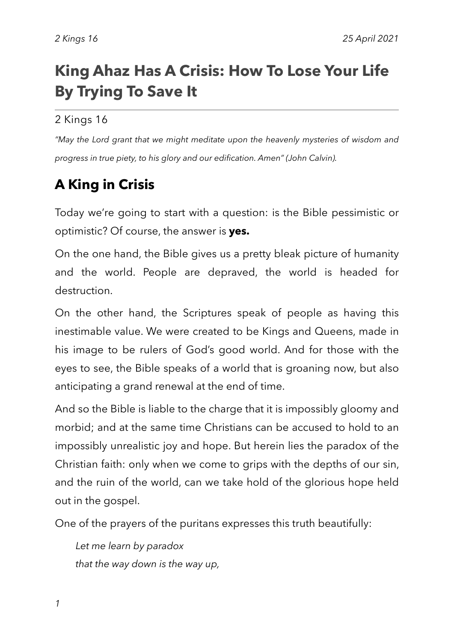# **King Ahaz Has A Crisis: How To Lose Your Life By Trying To Save It**

#### 2 Kings 16

*"May the Lord grant that we might meditate upon the heavenly mysteries of wisdom and progress in true piety, to his glory and our edification. Amen" (John Calvin).*

## **A King in Crisis**

Today we're going to start with a question: is the Bible pessimistic or optimistic? Of course, the answer is **yes.**

On the one hand, the Bible gives us a pretty bleak picture of humanity and the world. People are depraved, the world is headed for destruction.

On the other hand, the Scriptures speak of people as having this inestimable value. We were created to be Kings and Queens, made in his image to be rulers of God's good world. And for those with the eyes to see, the Bible speaks of a world that is groaning now, but also anticipating a grand renewal at the end of time.

And so the Bible is liable to the charge that it is impossibly gloomy and morbid; and at the same time Christians can be accused to hold to an impossibly unrealistic joy and hope. But herein lies the paradox of the Christian faith: only when we come to grips with the depths of our sin, and the ruin of the world, can we take hold of the glorious hope held out in the gospel.

One of the prayers of the puritans expresses this truth beautifully:

*Let me learn by paradox that the way down is the way up,*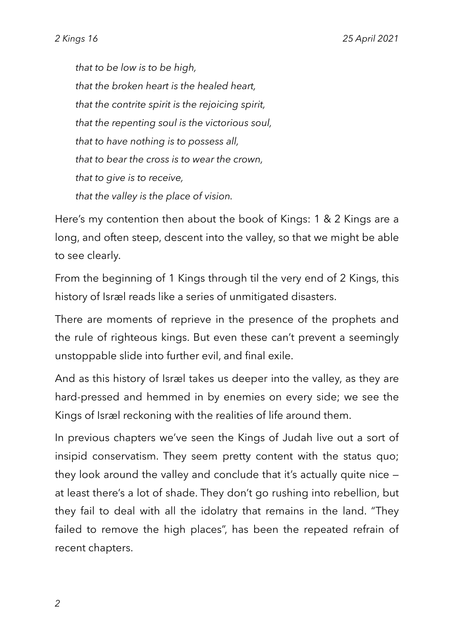*that to be low is to be high, that the broken heart is the healed heart, that the contrite spirit is the rejoicing spirit, that the repenting soul is the victorious soul, that to have nothing is to possess all, that to bear the cross is to wear the crown, that to give is to receive, that the valley is the place of vision.*

Here's my contention then about the book of Kings: 1 & 2 Kings are a long, and often steep, descent into the valley, so that we might be able to see clearly.

From the beginning of 1 Kings through til the very end of 2 Kings, this history of Isræl reads like a series of unmitigated disasters.

There are moments of reprieve in the presence of the prophets and the rule of righteous kings. But even these can't prevent a seemingly unstoppable slide into further evil, and final exile.

And as this history of Isræl takes us deeper into the valley, as they are hard-pressed and hemmed in by enemies on every side; we see the Kings of Israel reckoning with the realities of life around them.

In previous chapters we've seen the Kings of Judah live out a sort of insipid conservatism. They seem pretty content with the status quo; they look around the valley and conclude that it's actually quite nice at least there's a lot of shade. They don't go rushing into rebellion, but they fail to deal with all the idolatry that remains in the land. "They failed to remove the high places", has been the repeated refrain of recent chapters.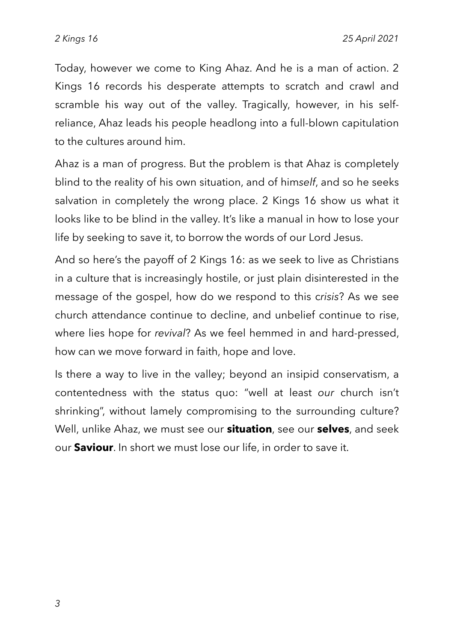Today, however we come to King Ahaz. And he is a man of action. 2 Kings 16 records his desperate attempts to scratch and crawl and scramble his way out of the valley. Tragically, however, in his selfreliance, Ahaz leads his people headlong into a full-blown capitulation to the cultures around him.

Ahaz is a man of progress. But the problem is that Ahaz is completely blind to the reality of his own situation, and of him*self*, and so he seeks salvation in completely the wrong place. 2 Kings 16 show us what it looks like to be blind in the valley. It's like a manual in how to lose your life by seeking to save it, to borrow the words of our Lord Jesus.

And so here's the payoff of 2 Kings 16: as we seek to live as Christians in a culture that is increasingly hostile, or just plain disinterested in the message of the gospel, how do we respond to this c*risis*? As we see church attendance continue to decline, and unbelief continue to rise, where lies hope for *revival*? As we feel hemmed in and hard-pressed, how can we move forward in faith, hope and love.

Is there a way to live in the valley; beyond an insipid conservatism, a contentedness with the status quo: "well at least *our* church isn't shrinking", without lamely compromising to the surrounding culture? Well, unlike Ahaz, we must see our **situation**, see our **selves**, and seek our **Saviour**. In short we must lose our life, in order to save it.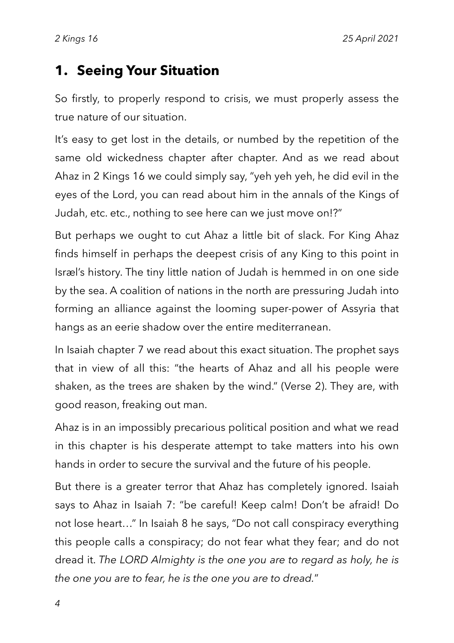#### **1. Seeing Your Situation**

So firstly, to properly respond to crisis, we must properly assess the true nature of our situation.

It's easy to get lost in the details, or numbed by the repetition of the same old wickedness chapter after chapter. And as we read about Ahaz in 2 Kings 16 we could simply say, "yeh yeh yeh, he did evil in the eyes of the Lord, you can read about him in the annals of the Kings of Judah, etc. etc., nothing to see here can we just move on!?"

But perhaps we ought to cut Ahaz a little bit of slack. For King Ahaz finds himself in perhaps the deepest crisis of any King to this point in Israel's history. The tiny little nation of Judah is hemmed in on one side by the sea. A coalition of nations in the north are pressuring Judah into forming an alliance against the looming super-power of Assyria that hangs as an eerie shadow over the entire mediterranean.

In Isaiah chapter 7 we read about this exact situation. The prophet says that in view of all this: "the hearts of Ahaz and all his people were shaken, as the trees are shaken by the wind." (Verse 2). They are, with good reason, freaking out man.

Ahaz is in an impossibly precarious political position and what we read in this chapter is his desperate attempt to take matters into his own hands in order to secure the survival and the future of his people.

But there is a greater terror that Ahaz has completely ignored. Isaiah says to Ahaz in Isaiah 7: "be careful! Keep calm! Don't be afraid! Do not lose heart..." In Isaiah 8 he says, "Do not call conspiracy everything this people calls a conspiracy; do not fear what they fear; and do not dread it. *The LORD Almighty is the one you are to regard as holy, he is the one you are to fear, he is the one you are to dread.*"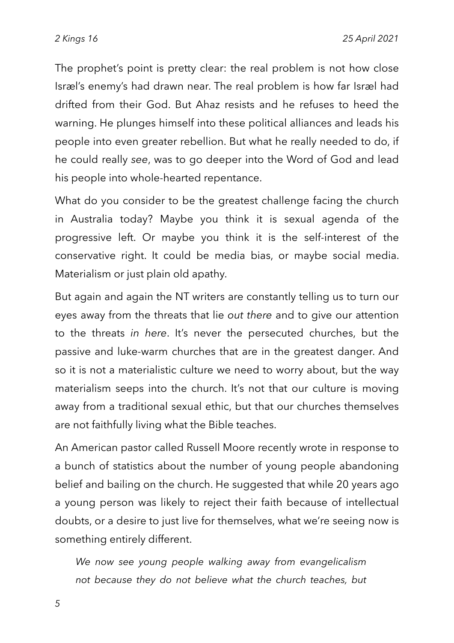The prophet's point is pretty clear: the real problem is not how close Israel's enemy's had drawn near. The real problem is how far Israel had drifted from their God. But Ahaz resists and he refuses to heed the warning. He plunges himself into these political alliances and leads his people into even greater rebellion. But what he really needed to do, if he could really *see*, was to go deeper into the Word of God and lead his people into whole-hearted repentance.

What do you consider to be the greatest challenge facing the church in Australia today? Maybe you think it is sexual agenda of the progressive left. Or maybe you think it is the self-interest of the conservative right. It could be media bias, or maybe social media. Materialism or just plain old apathy.

But again and again the NT writers are constantly telling us to turn our eyes away from the threats that lie *out there* and to give our attention to the threats *in here*. It's never the persecuted churches, but the passive and luke-warm churches that are in the greatest danger. And so it is not a materialistic culture we need to worry about, but the way materialism seeps into the church. It's not that our culture is moving away from a traditional sexual ethic, but that our churches themselves are not faithfully living what the Bible teaches.

An American pastor called Russell Moore recently wrote in response to a bunch of statistics about the number of young people abandoning belief and bailing on the church. He suggested that while 20 years ago a young person was likely to reject their faith because of intellectual doubts, or a desire to just live for themselves, what we're seeing now is something entirely different.

*We now see young people walking away from evangelicalism not because they do not believe what the church teaches, but*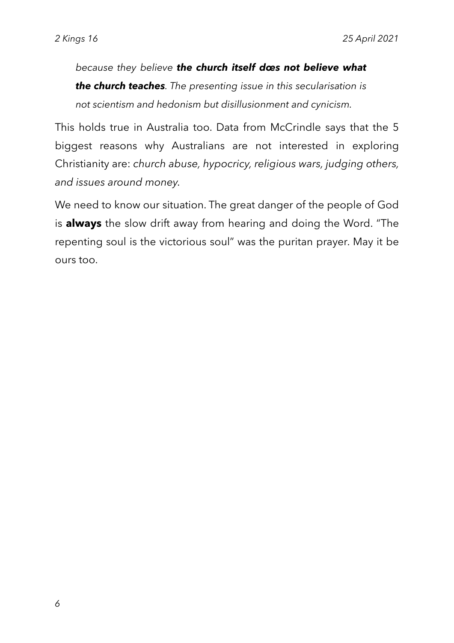*because they believe the church itself does not believe what the church teaches. The presenting issue in this secularisation is not scientism and hedonism but disillusionment and cynicism.*

This holds true in Australia too. Data from McCrindle says that the 5 biggest reasons why Australians are not interested in exploring Christianity are: *church abuse, hypocricy, religious wars, judging others, and issues around money.*

We need to know our situation. The great danger of the people of God is **always** the slow drift away from hearing and doing the Word. "The repenting soul is the victorious soul" was the puritan prayer. May it be ours too.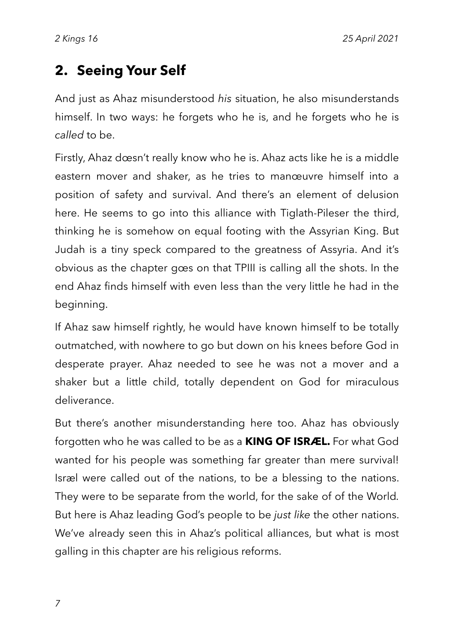### **2. Seeing Your Self**

And just as Ahaz misunderstood *his* situation, he also misunderstands himself. In two ways: he forgets who he is, and he forgets who he is *called* to be.

Firstly, Ahaz doesn't really know who he is. Ahaz acts like he is a middle eastern mover and shaker, as he tries to manoeuvre himself into a position of safety and survival. And there's an element of delusion here. He seems to go into this alliance with Tiglath-Pileser the third, thinking he is somehow on equal footing with the Assyrian King. But Judah is a tiny speck compared to the greatness of Assyria. And it's obvious as the chapter goes on that TPIII is calling all the shots. In the end Ahaz finds himself with even less than the very little he had in the beginning.

If Ahaz saw himself rightly, he would have known himself to be totally outmatched, with nowhere to go but down on his knees before God in desperate prayer. Ahaz needed to see he was not a mover and a shaker but a little child, totally dependent on God for miraculous deliverance.

But there's another misunderstanding here too. Ahaz has obviously forgotten who he was called to be as a **KING OF ISRAEL.** For what God wanted for his people was something far greater than mere survival! Israel were called out of the nations, to be a blessing to the nations. They were to be separate from the world, for the sake of of the World*.*  But here is Ahaz leading God's people to be *just like* the other nations. We've already seen this in Ahaz's political alliances, but what is most galling in this chapter are his religious reforms.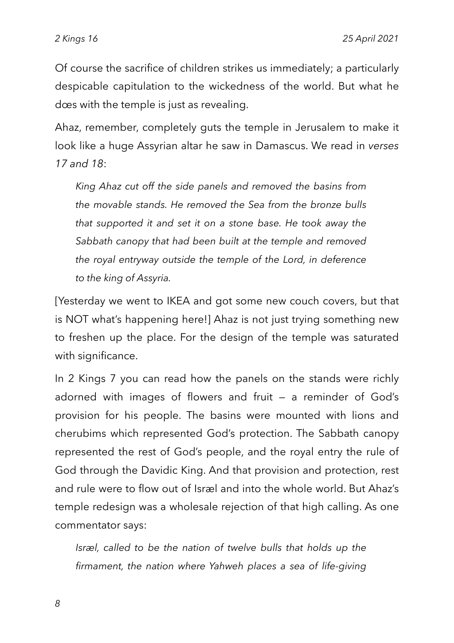Of course the sacrifice of children strikes us immediately; a particularly despicable capitulation to the wickedness of the world. But what he does with the temple is just as revealing.

Ahaz, remember, completely guts the temple in Jerusalem to make it look like a huge Assyrian altar he saw in Damascus. We read in *verses 17 and 18*:

*King Ahaz cut off the side panels and removed the basins from the movable stands. He removed the Sea from the bronze bulls that supported it and set it on a stone base. He took away the Sabbath canopy that had been built at the temple and removed the royal entryway outside the temple of the Lord, in deference to the king of Assyria.*

[Yesterday we went to IKEA and got some new couch covers, but that is NOT what's happening here!] Ahaz is not just trying something new to freshen up the place. For the design of the temple was saturated with significance.

In 2 Kings 7 you can read how the panels on the stands were richly adorned with images of flowers and fruit — a reminder of God's provision for his people. The basins were mounted with lions and cherubims which represented God's protection. The Sabbath canopy represented the rest of God's people, and the royal entry the rule of God through the Davidic King. And that provision and protection, rest and rule were to flow out of Israel and into the whole world. But Ahaz's temple redesign was a wholesale rejection of that high calling. As one commentator says:

*Israel, called to be the nation of twelve bulls that holds up the firmament, the nation where Yahweh places a sea of life-giving*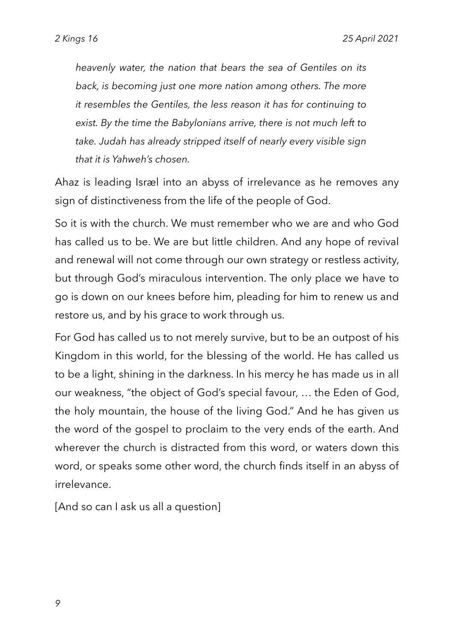*heavenly water, the nation that bears the sea of Gentiles on its back, is becoming just one more nation among others. The more it resembles the Gentiles, the less reason it has for continuing to exist. By the time the Babylonians arrive, there is not much left to take. Judah has already stripped itself of nearly every visible sign that it is Yahweh's chosen.*

Ahaz is leading Isræl into an abyss of irrelevance as he removes any sign of distinctiveness from the life of the people of God.

So it is with the church. We must remember who we are and who God has called us to be. We are but little children. And any hope of revival and renewal will not come through our own strategy or restless activity, but through God's miraculous intervention. The only place we have to go is down on our knees before him, pleading for him to renew us and restore us, and by his grace to work through us.

For God has called us to not merely survive, but to be an outpost of his Kingdom in this world, for the blessing of the world. He has called us to be a light, shining in the darkness. In his mercy he has made us in all our weakness, "the object of God's special favour, ... the Eden of God, the holy mountain, the house of the living God." And he has given us the word of the gospel to proclaim to the very ends of the earth. And wherever the church is distracted from this word, or waters down this word, or speaks some other word, the church finds itself in an abyss of irrelevance.

[And so can I ask us all a question]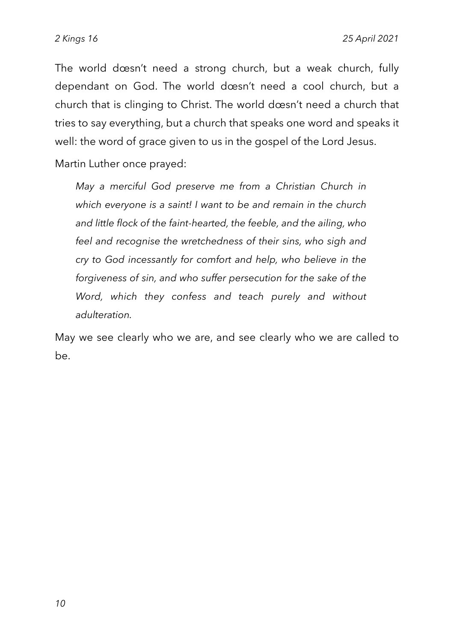The world doesn't need a strong church, but a weak church, fully dependant on God. The world doesn't need a cool church, but a church that is clinging to Christ. The world doesn't need a church that tries to say everything, but a church that speaks one word and speaks it well: the word of grace given to us in the gospel of the Lord Jesus.

Martin Luther once prayed:

*May a merciful God preserve me from a Christian Church in which everyone is a saint! I want to be and remain in the church and little flock of the faint-hearted, the feeble, and the ailing, who feel and recognise the wretchedness of their sins, who sigh and cry to God incessantly for comfort and help, who believe in the forgiveness of sin, and who suffer persecution for the sake of the Word, which they confess and teach purely and without adulteration.*

May we see clearly who we are, and see clearly who we are called to be.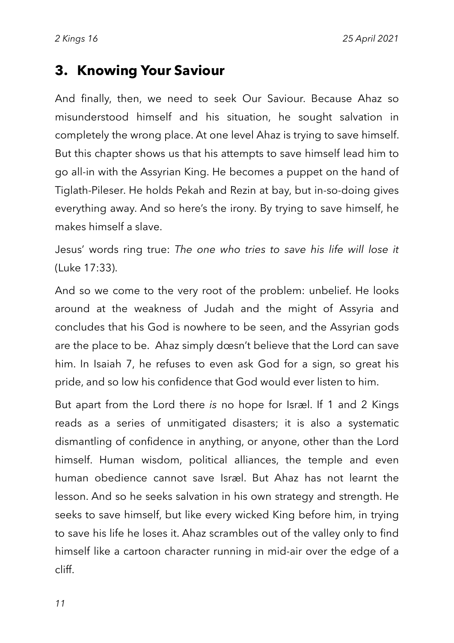#### **3. Knowing Your Saviour**

And finally, then, we need to seek Our Saviour. Because Ahaz so misunderstood himself and his situation, he sought salvation in completely the wrong place. At one level Ahaz is trying to save himself. But this chapter shows us that his attempts to save himself lead him to go all-in with the Assyrian King. He becomes a puppet on the hand of Tiglath-Pileser. He holds Pekah and Rezin at bay, but in-so-doing gives everything away. And so here's the irony. By trying to save himself, he makes himself a slave.

Jesus' words ring true: *The one who tries to save his life will lose it*  (Luke 17:33).

And so we come to the very root of the problem: unbelief. He looks around at the weakness of Judah and the might of Assyria and concludes that his God is nowhere to be seen, and the Assyrian gods are the place to be. Ahaz simply doesn't believe that the Lord can save him. In Isaiah 7, he refuses to even ask God for a sign, so great his pride, and so low his confidence that God would ever listen to him.

But apart from the Lord there *is* no hope for Israel. If 1 and 2 Kings reads as a series of unmitigated disasters; it is also a systematic dismantling of confidence in anything, or anyone, other than the Lord himself. Human wisdom, political alliances, the temple and even human obedience cannot save Israel. But Ahaz has not learnt the lesson. And so he seeks salvation in his own strategy and strength. He seeks to save himself, but like every wicked King before him, in trying to save his life he loses it. Ahaz scrambles out of the valley only to find himself like a cartoon character running in mid-air over the edge of a cliff.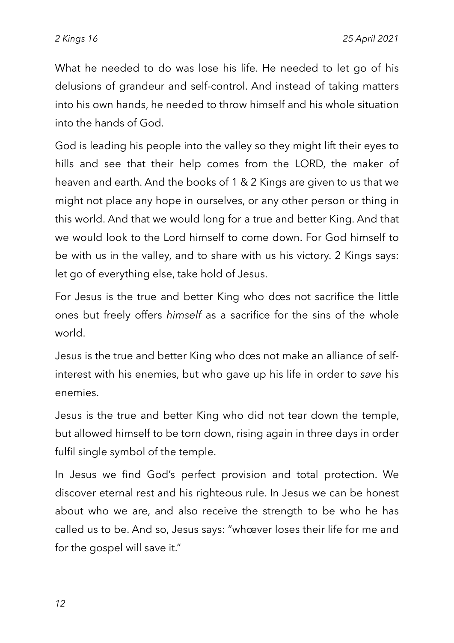What he needed to do was lose his life. He needed to let go of his delusions of grandeur and self-control. And instead of taking matters into his own hands, he needed to throw himself and his whole situation into the hands of God.

God is leading his people into the valley so they might lift their eyes to hills and see that their help comes from the LORD, the maker of heaven and earth. And the books of 1 & 2 Kings are given to us that we might not place any hope in ourselves, or any other person or thing in this world. And that we would long for a true and better King. And that we would look to the Lord himself to come down. For God himself to be with us in the valley, and to share with us his victory. 2 Kings says: let go of everything else, take hold of Jesus.

For Jesus is the true and better King who does not sacrifice the little ones but freely offers *himself* as a sacrifice for the sins of the whole world.

Jesus is the true and better King who does not make an alliance of selfinterest with his enemies, but who gave up his life in order to *save* his enemies.

Jesus is the true and better King who did not tear down the temple, but allowed himself to be torn down, rising again in three days in order fulfil single symbol of the temple.

In Jesus we find God's perfect provision and total protection. We discover eternal rest and his righteous rule. In Jesus we can be honest about who we are, and also receive the strength to be who he has called us to be. And so, Jesus says: "whoever loses their life for me and for the gospel will save it."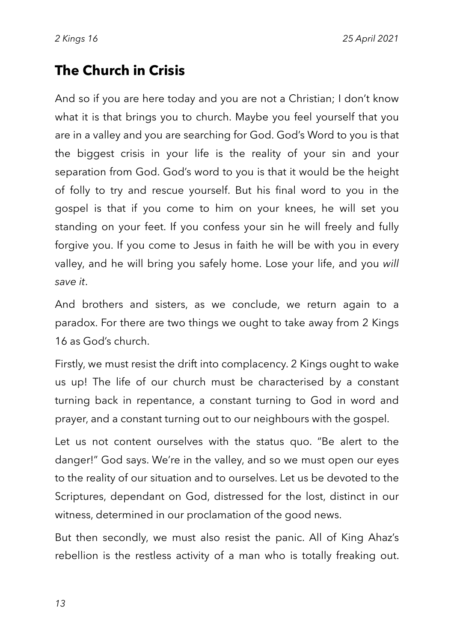### **The Church in Crisis**

And so if you are here today and you are not a Christian; I don't know what it is that brings you to church. Maybe you feel yourself that you are in a valley and you are searching for God. God's Word to you is that the biggest crisis in your life is the reality of your sin and your separation from God. God's word to you is that it would be the height of folly to try and rescue yourself. But his final word to you in the gospel is that if you come to him on your knees, he will set you standing on your feet. If you confess your sin he will freely and fully forgive you. If you come to Jesus in faith he will be with you in every valley, and he will bring you safely home. Lose your life, and you *will save it*.

And brothers and sisters, as we conclude, we return again to a paradox. For there are two things we ought to take away from 2 Kings 16 as God's church.

Firstly, we must resist the drift into complacency. 2 Kings ought to wake us up! The life of our church must be characterised by a constant turning back in repentance, a constant turning to God in word and prayer, and a constant turning out to our neighbours with the gospel.

Let us not content ourselves with the status quo. "Be alert to the danger!" God says. We're in the valley, and so we must open our eyes to the reality of our situation and to ourselves. Let us be devoted to the Scriptures, dependant on God, distressed for the lost, distinct in our witness, determined in our proclamation of the good news.

But then secondly, we must also resist the panic. All of King Ahaz's rebellion is the restless activity of a man who is totally freaking out.